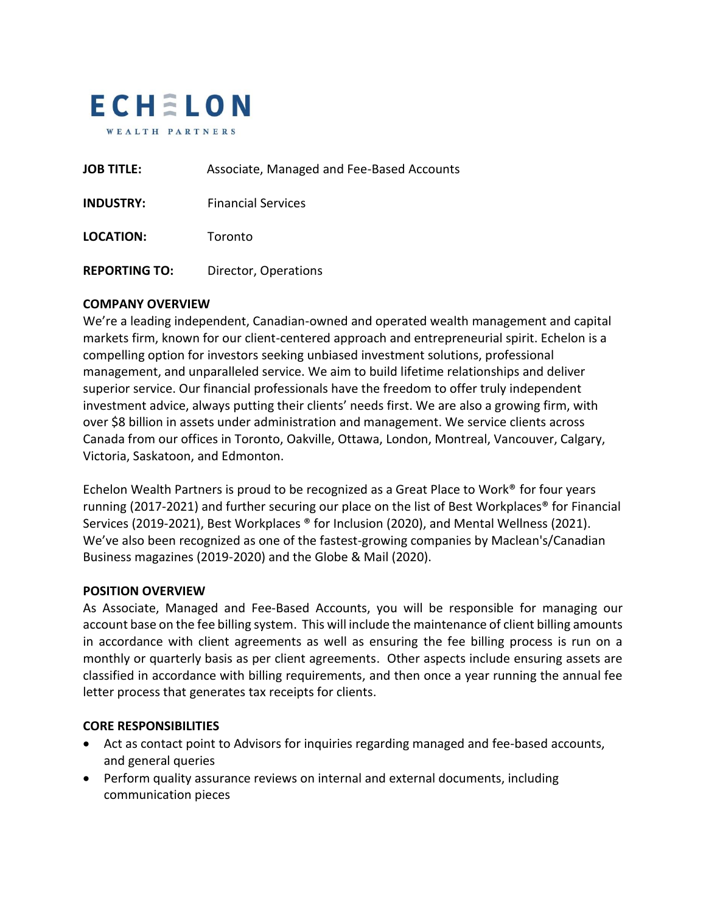

| <b>JOB TITLE:</b>    | Associate, Managed and Fee-Based Accounts |
|----------------------|-------------------------------------------|
| <b>INDUSTRY:</b>     | <b>Financial Services</b>                 |
| <b>LOCATION:</b>     | Toronto                                   |
| <b>REPORTING TO:</b> | Director, Operations                      |

### **COMPANY OVERVIEW**

We're a leading independent, Canadian-owned and operated wealth management and capital markets firm, known for our client-centered approach and entrepreneurial spirit. Echelon is a compelling option for investors seeking unbiased investment solutions, professional management, and unparalleled service. We aim to build lifetime relationships and deliver superior service. Our financial professionals have the freedom to offer truly independent investment advice, always putting their clients' needs first. We are also a growing firm, with over \$8 billion in assets under administration and management. We service clients across Canada from our offices in Toronto, Oakville, Ottawa, London, Montreal, Vancouver, Calgary, Victoria, Saskatoon, and Edmonton.

Echelon Wealth Partners is proud to be recognized as a Great Place to Work® for four years running (2017-2021) and further securing our place on the list of Best Workplaces® for Financial Services (2019-2021), Best Workplaces ® for Inclusion (2020), and Mental Wellness (2021). We've also been recognized as one of the fastest-growing companies by Maclean's/Canadian Business magazines (2019-2020) and the Globe & Mail (2020).

#### **POSITION OVERVIEW**

As Associate, Managed and Fee-Based Accounts, you will be responsible for managing our account base on the fee billing system. This will include the maintenance of client billing amounts in accordance with client agreements as well as ensuring the fee billing process is run on a monthly or quarterly basis as per client agreements. Other aspects include ensuring assets are classified in accordance with billing requirements, and then once a year running the annual fee letter process that generates tax receipts for clients.

### **CORE RESPONSIBILITIES**

- Act as contact point to Advisors for inquiries regarding managed and fee-based accounts, and general queries
- Perform quality assurance reviews on internal and external documents, including communication pieces